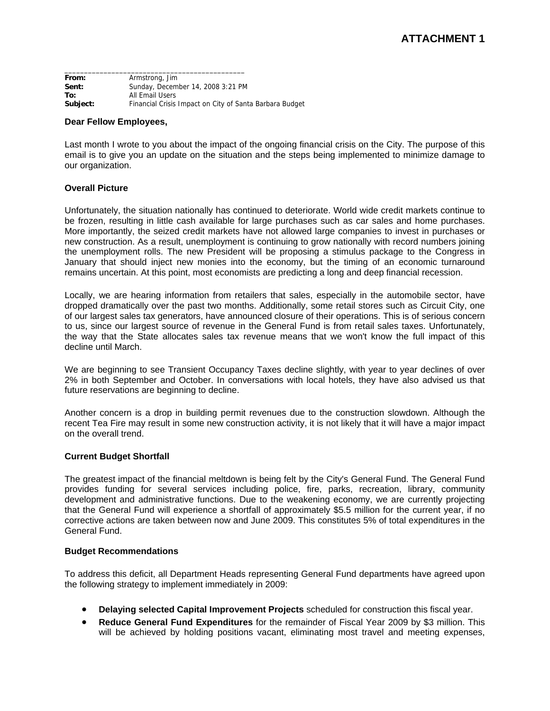**From:** Armstrong, Jim **Sent:** Sunday, December 14, 2008 3:21 PM **To:** All Email Users **Subject:** Financial Crisis Impact on City of Santa Barbara Budget

\_\_\_\_\_\_\_\_\_\_\_\_\_\_\_\_\_\_\_\_\_\_\_\_\_\_\_\_\_\_\_\_\_\_\_\_\_\_\_\_\_\_\_\_\_\_

### **Dear Fellow Employees,**

Last month I wrote to you about the impact of the ongoing financial crisis on the City. The purpose of this email is to give you an update on the situation and the steps being implemented to minimize damage to our organization.

## **Overall Picture**

Unfortunately, the situation nationally has continued to deteriorate. World wide credit markets continue to be frozen, resulting in little cash available for large purchases such as car sales and home purchases. More importantly, the seized credit markets have not allowed large companies to invest in purchases or new construction. As a result, unemployment is continuing to grow nationally with record numbers joining the unemployment rolls. The new President will be proposing a stimulus package to the Congress in January that should inject new monies into the economy, but the timing of an economic turnaround remains uncertain. At this point, most economists are predicting a long and deep financial recession.

Locally, we are hearing information from retailers that sales, especially in the automobile sector, have dropped dramatically over the past two months. Additionally, some retail stores such as Circuit City, one of our largest sales tax generators, have announced closure of their operations. This is of serious concern to us, since our largest source of revenue in the General Fund is from retail sales taxes. Unfortunately, the way that the State allocates sales tax revenue means that we won't know the full impact of this decline until March.

We are beginning to see Transient Occupancy Taxes decline slightly, with year to year declines of over 2% in both September and October. In conversations with local hotels, they have also advised us that future reservations are beginning to decline.

Another concern is a drop in building permit revenues due to the construction slowdown. Although the recent Tea Fire may result in some new construction activity, it is not likely that it will have a major impact on the overall trend.

## **Current Budget Shortfall**

The greatest impact of the financial meltdown is being felt by the City's General Fund. The General Fund provides funding for several services including police, fire, parks, recreation, library, community development and administrative functions. Due to the weakening economy, we are currently projecting that the General Fund will experience a shortfall of approximately \$5.5 million for the current year, if no corrective actions are taken between now and June 2009. This constitutes 5% of total expenditures in the General Fund.

## **Budget Recommendations**

To address this deficit, all Department Heads representing General Fund departments have agreed upon the following strategy to implement immediately in 2009:

- **Delaying selected Capital Improvement Projects** scheduled for construction this fiscal year.
- **Reduce General Fund Expenditures** for the remainder of Fiscal Year 2009 by \$3 million. This will be achieved by holding positions vacant, eliminating most travel and meeting expenses,